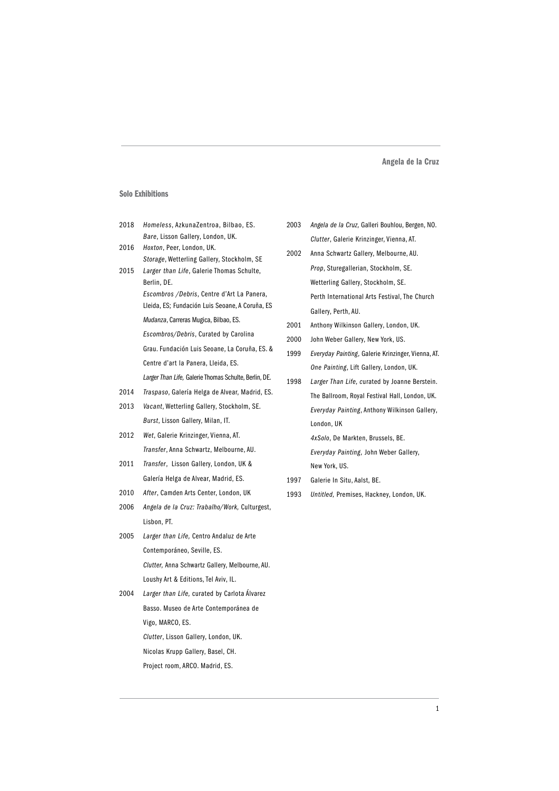#### Solo Exhibitions

- 2018 *Homeless*, AzkunaZentroa, Bilbao, ES. *Bare*, Lisson Gallery, London, UK.
- 2016 *Hoxton*, Peer, London, UK. *Storage*, Wetterling Gallery, Stockholm, SE
- 2015 *Larger than Life*, Galerie Thomas Schulte, Berlin, DE. *Escombros /Debris*, Centre d'Art La Panera, Lleida, ES; Fundación Luis Seoane, A Coruña, ES *Mudanza*, Carreras Mugica, Bilbao, ES. *Escombros/Debris*, Curated by Carolina
	- Grau. Fundación Luis Seoane, La Coruña, ES. & Centre d'art la Panera, Lleida, ES. *Larger Than Life,* Galerie Thomas Schulte, Berlin, DE.
- 2014 *Traspaso*, Galería Helga de Alvear, Madrid, ES.
- 2013 *Vacant*, Wetterling Gallery, Stockholm, SE. *Burst*, Lisson Gallery, Milan, IT.
- 2012 *Wet*, Galerie Krinzinger, Vienna, AT. *Transfer*, Anna Schwartz, Melbourne, AU.
- 2011 *Transfer*, Lisson Gallery, London, UK & Galería Helga de Alvear, Madrid, ES.
- 2010 *After*, Camden Arts Center, London, UK
- 2006 *Angela de la Cruz: Trabalho/Work,* Culturgest, Lisbon, PT.
- 2005 *Larger than Life,* Centro Andaluz de Arte Contemporáneo, Seville, ES. *Clutter,* Anna Schwartz Gallery, Melbourne, AU. Loushy Art & Editions, Tel Aviv, IL.
- 2004 *Larger than Life,* curated by Carlota Álvarez Basso. Museo de Arte Contemporánea de Vigo, MARCO, ES. *Clutter*, Lisson Gallery, London, UK. Nicolas Krupp Gallery, Basel, CH. Project room, ARCO. Madrid, ES.
- 2003 *Angela de la Cruz,* Galleri Bouhlou, Bergen, NO. *Clutter*, Galerie Krinzinger, Vienna, AT.
- 2002 Anna Schwartz Gallery, Melbourne, AU. *Prop*, Sturegallerian, Stockholm, SE. Wetterling Gallery, Stockholm, SE. Perth International Arts Festival, The Church Gallery, Perth, AU.
- 2001 Anthony Wilkinson Gallery, London, UK.
- 2000 John Weber Gallery, New York, US.
- 1999 *Everyday Painting,* Galerie Krinzinger, Vienna, AT. *One Painting*, Lift Gallery, London, UK.
- 1998 *Larger Than Life, c*urated by Joanne Berstein. The Ballroom, Royal Festival Hall, London, UK. *Everyday Painting*, Anthony Wilkinson Gallery, London, UK *4xSolo*, De Markten, Brussels, BE. *Everyday Painting,* John Weber Gallery, New York, US.
- 1997 Galerie In Situ, Aalst, BE.
- 1993 *Untitled,* Premises, Hackney, London, UK.

1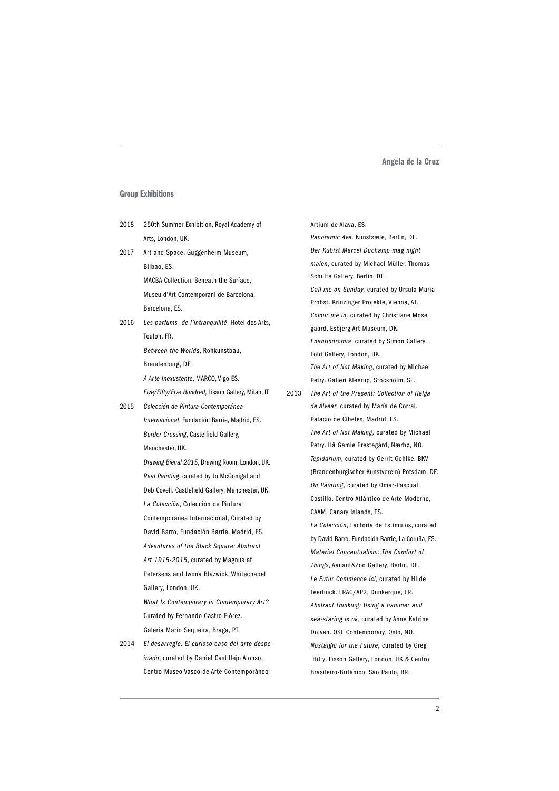# Group Exhibitions

| 2018 | 250th Summer Exhibition, Royal Academy of          |      | Artium de Alava, ES.                             |
|------|----------------------------------------------------|------|--------------------------------------------------|
|      | Arts, London, UK.                                  |      | Panoramic Ave, Kunstsæle, Berlin, DE.            |
| 2017 | Art and Space, Guggenheim Museum,                  |      | Der Kubist Marcel Duchamp mag night              |
|      | Bilbao, ES.                                        |      | malen, curated by Michael Müller. Thomas         |
|      | MACBA Collection. Beneath the Surface,             |      | Schulte Gallery, Berlin, DE.                     |
|      | Museu d'Art Contemporani de Barcelona,             |      | Call me on Sunday, curated by Ursula Maria       |
|      | Barcelona, ES.                                     |      | Probst. Krinzinger Projekte, Vienna, AT.         |
| 2016 | Les parfums de l'intranquilité, Hotel des Arts,    |      | Colour me in, curated by Christiane Mose         |
|      | Toulon, FR.                                        |      | gaard. Esbjerg Art Museum, DK.                   |
|      |                                                    |      | Enantiodromia, curated by Simon Callery.         |
|      | Between the Worlds, Rohkunstbau,                   |      | Fold Gallery, London, UK.                        |
|      | Brandenburg, DE                                    |      | The Art of Not Making, curated by Michael        |
|      | A Arte Inexustente, MARCO, Vigo ES.                |      | Petry. Galleri Kleerup, Stockholm, SE.           |
|      | Five/Fifty/Five Hundred, Lisson Gallery, Milan, IT | 2013 | The Art of the Present: Collection of Helga      |
| 2015 | Colección de Pintura Contemporánea                 |      | de Alvear, curated by María de Corral.           |
|      | Internacional, Fundación Barrie, Madrid, ES.       |      | Palacio de Cibeles, Madrid, ES.                  |
|      | Border Crossing, Castelfield Gallery,              |      | The Art of Not Making, curated by Michael        |
|      | Manchester, UK.                                    |      | Petry. Hå Gamle Prestegård, Nærbø, NO.           |
|      | Drawing Bienal 2015, Drawing Room, London, UK.     |      | Tepidarium, curated by Gerrit Gohlke. BKV        |
|      | Real Painting, curated by Jo McGonigal and         |      | (Brandenburgischer Kunstverein) Potsdam, DE.     |
|      | Deb Covell. Castlefield Gallery, Manchester, UK.   |      | On Painting, curated by Omar-Pascual             |
|      | La Colección, Colección de Pintura                 |      | Castillo. Centro Atlántico de Arte Moderno,      |
|      | Contemporánea Internacional, Curated by            |      | CAAM, Canary Islands, ES.                        |
|      | David Barro, Fundación Barrie, Madrid, ES.         |      | La Colección, Factoría de Estímulos, curated     |
|      | Adventures of the Black Square: Abstract           |      | by David Barro. Fundación Barrie, La Coruña, ES. |
|      | Art 1915-2015, curated by Magnus af                |      | Material Conceptualism: The Comfort of           |
|      | Petersens and Iwona Blazwick. Whitechapel          |      | Things, Aanant&Zoo Gallery, Berlin, DE.          |
|      | Gallery, London, UK.                               |      | Le Futur Commence Ici, curated by Hilde          |
|      | What Is Contemporary in Contemporary Art?          |      | Teerlinck. FRAC/AP2, Dunkerque, FR.              |
|      |                                                    |      | Abstract Thinking: Using a hammer and            |
|      | Curated by Fernando Castro Flórez.                 |      | sea-staring is ok, curated by Anne Katrine       |
|      | Galeria Mario Sequeira, Braga, PT.                 |      | Dolven. OSL Contemporary, Oslo, NO.              |
| 2014 | El desarreglo. El curioso caso del arte despe      |      | Nostalgic for the Future, curated by Greg        |
|      | inado, curated by Daniel Castillejo Alonso.        |      | Hilty. Lisson Gallery, London, UK & Centro       |
|      | Centro-Museo Vasco de Arte Contemporáneo           |      | Brasileiro-Britânico, São Paulo, BR.             |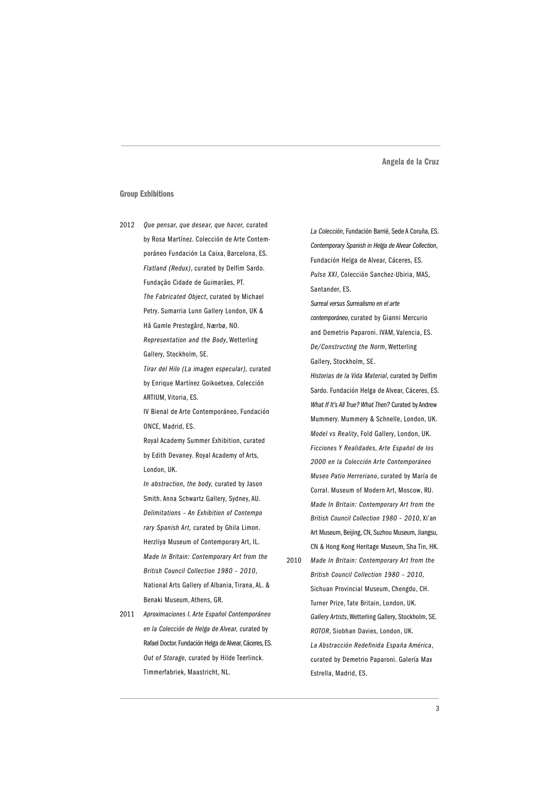### Group Exhibitions

2012 *Que pensar, que desear, que hacer,* curated by Rosa Martínez. Colección de Arte Contemporáneo Fundación La Caixa, Barcelona, ES. *Flatland (Redux)*, curated by Delfim Sardo. Fundação Cidade de Guimarães, PT. *The Fabricated Object*, curated by Michael Petry. Sumarria Lunn Gallery London, UK & Hå Gamle Prestegård, Nærbø, NO.

> *Representation and the Body*, Wetterling Gallery, Stockholm, SE.

*Tirar del Hilo (La imagen especular),* curated by Enrique Martínez Goikoetxea, Colección ARTIUM, Vitoria, ES.

IV Bienal de Arte Contemporáneo, Fundación ONCE, Madrid, ES.

Royal Academy Summer Exhibition, curated by Edith Devaney. Royal Academy of Arts, London, UK.

*In abstraction, the body,* curated by Jason Smith. Anna Schwartz Gallery, Sydney, AU. *Delimitations – An Exhibition of Contempo rary Spanish Art,* curated by Ghila Limon. Herzliya Museum of Contemporary Art, IL. *Made In Britain: Contemporary Art from the British Council Collection 1980 – 2010*, National Arts Gallery of Albania, Tirana, AL. & Benaki Museum, Athens, GR.

2011 *Aproximaciones I. Arte Español Contemporáneo en la Colección de Helga de Alvear, c*urated by Rafael Doctor. Fundación Helga de Alvear, Cáceres, ES. *Out of Storage,* curated by Hilde Teerlinck. Timmerfabriek, Maastricht, NL.

*La Colección*, Fundación Barrié, Sede A Coruña, ES. *Contemporary Spanish in Helga de Alvear Collection*, Fundación Helga de Alvear, Cáceres, ES. *Pulso XXI*, Colección Sanchez-Ubiria, MAS, Santander, ES.

*Surreal versus Surrealismo en el arte contemporáneo*, curated by Gianni Mercurio and Demetrio Paparoni. IVAM, Valencia, ES. *De/Constructing the Norm*, Wetterling Gallery, Stockholm, SE.

- *Historias de la Vida Material*, curated by Delfim Sardo. Fundación Helga de Alvear, Cáceres, ES. *What If It's All True? What Then?* Curated by Andrew Mummery. Mummery & Schnelle, London, UK. *Model vs Reality*, Fold Gallery, London, UK. *Ficciones Y Realidades, Arte Español de los 2000 en la Colección Arte Contemporáneo Museo Patio Herreriano*, curated by María de Corral. Museum of Modern Art, Moscow, RU. *Made In Britain: Contemporary Art from the British Council Collection 1980 – 2010*, Xi'an Art Museum, Beijing, CN, Suzhou Museum, Jiangsu, CN & Hong Kong Heritage Museum, Sha Tin, HK.
- 2010 *Made In Britain: Contemporary Art from the British Council Collection 1980 – 2010,* Sichuan Provincial Museum, Chengdu, CH. Turner Prize, Tate Britain, London, UK. *Gallery Artists*, Wetterling Gallery, Stockholm, SE. *ROTOR*, Siobhan Davies, London, UK. *La Abstracción Redefinida España América*, curated by Demetrio Paparoni. Galería Max Estrella, Madrid, ES.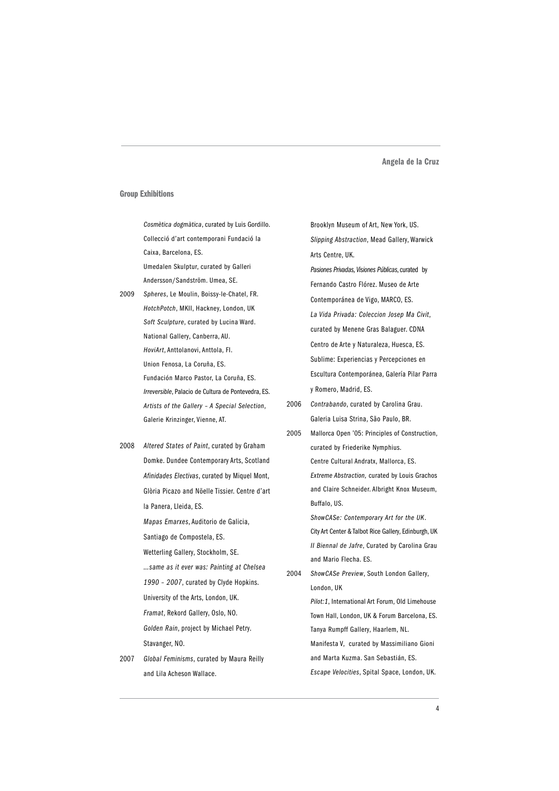#### Group Exhibitions

*Cosmètica dogmàtica*, curated by Luis Gordillo. Collecció d'art contemporani Fundació la Caixa, Barcelona, ES. Umedalen Skulptur, curated by Galleri

Andersson/Sandström. Umea, SE. 2009 *Spheres*, Le Moulin, Boissy-le-Chatel, FR. *HotchPotch*, MKII, Hackney, London, UK *Soft Sculpture*, curated by Lucina Ward. National Gallery, Canberra, AU. *HoviArt*, Anttolanovi, Anttola, FI. Union Fenosa, La Coruña, ES. Fundación Marco Pastor, La Coruña, ES. *Irreversible*, Palacio de Cultura de Pontevedra, ES. *Artists of the Gallery – A Special Selection*, Galerie Krinzinger, Vienne, AT.

2008 *Altered States of Paint*, curated by Graham Domke. Dundee Contemporary Arts, Scotland *Afinidades Electivas*, curated by Miquel Mont, Glòria Picazo and Nöelle Tissier. Centre d'art la Panera, Lleida, ES.

> *Mapas Emarxes*, Auditorio de Galicia, Santiago de Compostela, ES.

- Wetterling Gallery, Stockholm, SE. *…same as it ever was: Painting at Chelsea 1990 – 2007*, curated by Clyde Hopkins. University of the Arts, London, UK. *Framat*, Rekord Gallery, Oslo, NO. *Golden Rain*, project by Michael Petry. Stavanger, NO.
- 2007 *Global Feminisms*, curated by Maura Reilly and Lila Acheson Wallace.

Brooklyn Museum of Art, New York, US. *Slipping Abstraction*, Mead Gallery, Warwick Arts Centre, UK. *Pasiones Privadas, Visiones Públicas*, curated by Fernando Castro Flórez. Museo de Arte Contemporánea de Vigo, MARCO, ES. *La Vida Privada: Coleccion Josep Ma Civit*, curated by Menene Gras Balaguer. CDNA Centro de Arte y Naturaleza, Huesca, ES. Sublime: Experiencias y Percepciones en Escultura Contemporánea, Galería Pilar Parra y Romero, Madrid, ES.

- 2006 *Contrabando*, curated by Carolina Grau. Galeria Luisa Strina, São Paulo, BR.
- 2005 Mallorca Open '05: Principles of Construction, curated by Friederike Nymphius. Centre Cultural Andratx, Mallorca, ES. *Extreme Abstraction,* curated by Louis Grachos and Claire Schneider. Albright Knox Museum, Buffalo, US. *ShowCASe: Contemporary Art for the UK*. City Art Center & Talbot Rice Gallery, Edinburgh, UK

*II Biennal de Jafre*, Curated by Carolina Grau and Mario Flecha. ES.

2004 *ShowCASe Preview*, South London Gallery, London, UK

> *Pilot:1*, International Art Forum, Old Limehouse Town Hall, London, UK & Forum Barcelona, ES. Tanya Rumpff Gallery, Haarlem, NL. Manifesta V, curated by Massimiliano Gioni and Marta Kuzma. San Sebastián, ES. *Escape Velocities*, Spital Space, London, UK.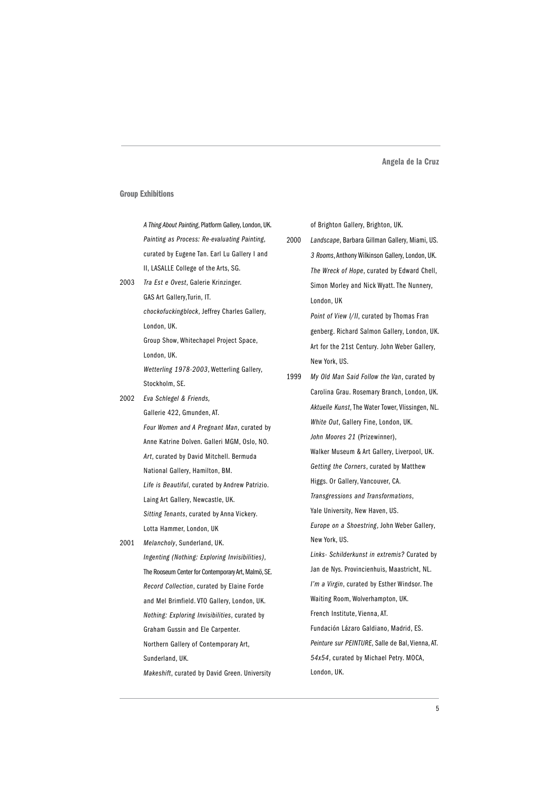#### Group Exhibitions

*A Thing About Painting*, Platform Gallery, London, UK. *Painting as Process: Re-evaluating Painting*, curated by Eugene Tan. Earl Lu Gallery I and II, LASALLE College of the Arts, SG.

2003 *Tra Est e Ovest*, Galerie Krinzinger. GAS Art Gallery,Turin, IT. *chockofuckingblock*, Jeffrey Charles Gallery, London, UK. Group Show, Whitechapel Project Space, London, UK.

*Wetterling 1978-2003*, Wetterling Gallery, Stockholm, SE.

2002 *Eva Schlegel & Friends,*

Gallerie 422, Gmunden, AT. *Four Women and A Pregnant Man*, curated by Anne Katrine Dolven. Galleri MGM, Oslo, NO. *Art*, curated by David Mitchell. Bermuda National Gallery, Hamilton, BM. *Life is Beautiful*, curated by Andrew Patrizio. Laing Art Gallery, Newcastle, UK. *Sitting Tenants*, curated by Anna Vickery. Lotta Hammer, London, UK

2001 *Melancholy*, Sunderland, UK.

*Ingenting (Nothing: Exploring Invisibilities)*, The Rooseum Center for Contemporary Art, Malmö, SE. *Record Collection*, curated by Elaine Forde and Mel Brimfield. VTO Gallery, London, UK. *Nothing: Exploring Invisibilities*, curated by Graham Gussin and Ele Carpenter. Northern Gallery of Contemporary Art, Sunderland, UK.

*Makeshift*, curated by David Green. University

of Brighton Gallery, Brighton, UK.

2000 *Landscape*, Barbara Gillman Gallery, Miami, US. *3 Rooms*, Anthony Wilkinson Gallery, London, UK. *The Wreck of Hope*, curated by Edward Chell, Simon Morley and Nick Wyatt. The Nunnery, London, UK *Point of View I/II*, curated by Thomas Fran genberg. Richard Salmon Gallery, London, UK. Art for the 21st Century. John Weber Gallery, New York, US. 1999 *My Old Man Said Follow the Van*, curated by Carolina Grau. Rosemary Branch, London, UK. *Aktuelle Kunst*, The Water Tower, Vlissingen, NL. *White Out*, Gallery Fine, London, UK. *John Moores 21* (Prizewinner), Walker Museum & Art Gallery, Liverpool, UK. *Getting the Corners*, curated by Matthew Higgs. Or Gallery, Vancouver, CA. *Transgressions and Transformations*, Yale University, New Haven, US. *Europe on a Shoestring*, John Weber Gallery, New York, US. *Links- Schilderkunst in extremis?* Curated by Jan de Nys. Provincienhuis, Maastricht, NL. *I'm a Virgin*, curated by Esther Windsor. The Waiting Room, Wolverhampton, UK. French Institute, Vienna, AT. Fundación Lázaro Galdiano, Madrid, ES. *Peinture sur PEINTURE*, Salle de Bal, Vienna, AT. *54x54*, curated by Michael Petry. MOCA, London, UK.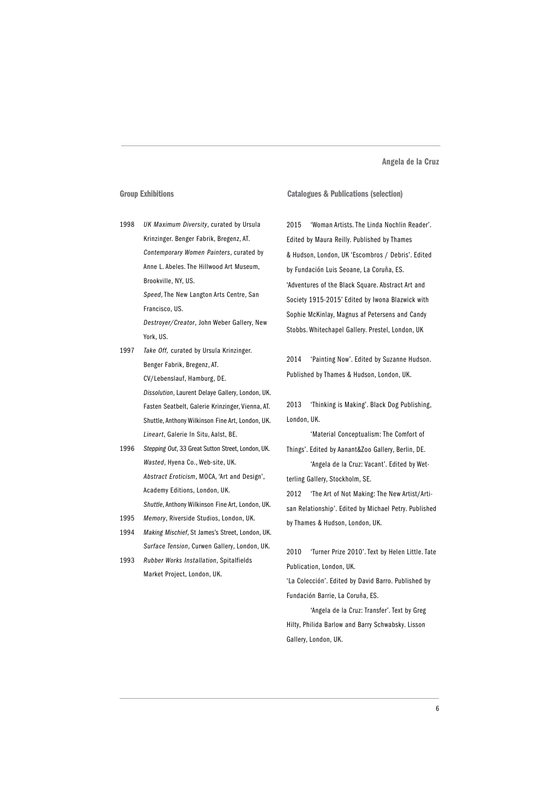#### Group Exhibitions

1998 *UK Maximum Diversity*, curated by Ursula Krinzinger. Benger Fabrik, Bregenz, AT. *Contemporary Women Painters*, curated by Anne L. Abeles. The Hillwood Art Museum, Brookville, NY, US.

> *Speed*, The New Langton Arts Centre, San Francisco, US.

*Destroyer/Creator*, John Weber Gallery, New York, US.

- 1997 *Take Off,* curated by Ursula Krinzinger. Benger Fabrik, Bregenz, AT. CV/Lebenslauf, Hamburg, DE.
	- *Dissolution*, Laurent Delaye Gallery, London, UK. Fasten Seatbelt, Galerie Krinzinger, Vienna, AT. Shuttle, Anthony Wilkinson Fine Art, London, UK. *Lineart*, Galerie In Situ, Aalst, BE.
- 1996 *Stepping Out*, 33 Great Sutton Street, London, UK. *Wasted*, Hyena Co., Web-site, UK. *Abstract Eroticism*, MOCA, 'Art and Design', Academy Editions, London, UK. *Shuttle*, Anthony Wilkinson Fine Art, London, UK.
- 1995 *Memory*, Riverside Studios, London, UK.
- 1994 *Making Mischief*, St James's Street, London, UK. *Surface Tension*, Curwen Gallery, London, UK.
- 1993 *Rubber Works Installation*, Spitalfields Market Project, London, UK.

#### Catalogues & Publications (selection)

2015 'Woman Artists. The Linda Nochlin Reader'. Edited by Maura Reilly. Published by Thames & Hudson, London, UK 'Escombros / Debris'. Edited by Fundación Luis Seoane, La Coruña, ES. 'Adventures of the Black Square. Abstract Art and Society 1915-2015' Edited by Iwona Blazwick with Sophie McKinlay, Magnus af Petersens and Candy Stobbs. Whitechapel Gallery. Prestel, London, UK

2014 'Painting Now'. Edited by Suzanne Hudson. Published by Thames & Hudson, London, UK.

2013 'Thinking is Making'. Black Dog Publishing, London, UK.

'Material Conceptualism: The Comfort of Things'. Edited by Aanant&Zoo Gallery, Berlin, DE. 'Angela de la Cruz: Vacant'. Edited by Wetterling Gallery, Stockholm, SE.

2012 'The Art of Not Making: The New Artist/Artisan Relationship'. Edited by Michael Petry. Published by Thames & Hudson, London, UK.

2010 'Turner Prize 2010'. Text by Helen Little. Tate Publication, London, UK.

'La Colección'. Edited by David Barro. Published by Fundación Barrie, La Coruña, ES.

'Angela de la Cruz: Transfer'. Text by Greg Hilty, Philida Barlow and Barry Schwabsky. Lisson Gallery, London, UK.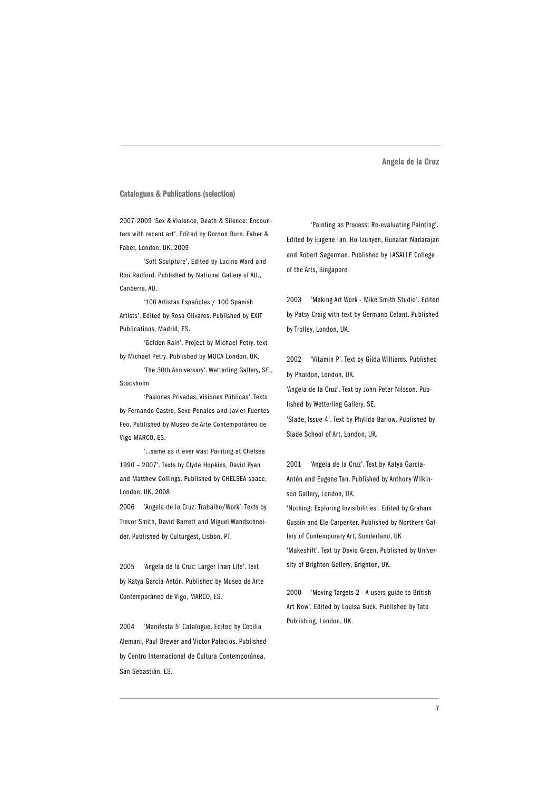### Catalogues & Publications (selection)

2007-2009 'Sex & Violence, Death & Silence: Encounters with recent art'. Edited by Gordon Burn. Faber & Faber, London, UK, 2009

'Soft Sculpture', Edited by Lucina Ward and Ron Radford. Published by National Gallery of AU., Canberra, AU.

'100 Artistas Españoles / 100 Spanish Artists'. Edited by Rosa Olivares. Published by EXIT Publications, Madrid, ES.

'Golden Rain'. Project by Michael Petry, text by Michael Petry. Published by MOCA London, UK.

'The 30th Anniversary'. Wetterling Gallery, SE., Stockholm

'Pasiones Privadas, Visiones Públicas'. Texts by Fernando Castro, Seve Penales and Javier Fuentes Feo. Published by Museo de Arte Contemporáneo de Vigo MARCO, ES.

'…same as it ever was: Painting at Chelsea 1990 – 2007'. Texts by Clyde Hopkins, David Ryan and Matthew Collings. Published by CHELSEA space, London, UK, 2008

2006 'Angela de la Cruz: Trabalho/Work'. Texts by Trevor Smith, David Barrett and Miguel Wandschneider. Published by Culturgest, Lisbon, PT.

2005 'Angela de la Cruz: Larger Than Life'. Text by Katya García-Antón. Published by Museo de Arte Contemporáneo de Vigo, MARCO, ES.

2004 'Manifesta 5' Catalogue. Edited by Cecilia Alemani, Paul Brewer and Victor Palacios. Published by Centro Internacional de Cultura Contemporánea, San Sebastián, ES.

'Painting as Process: Re-evaluating Painting'. Edited by Eugene Tan, Ho Tzunyen, Gunalan Nadarajan and Robert Sagerman. Published by LASALLE College of the Arts, Singapore

2003 'Making Art Work - Mike Smith Studio'. Edited by Patsy Craig with text by Germano Celant. Published by Trolley, London, UK.

2002 'Vitamin P'. Text by Gilda Williams. Published by Phaidon, London, UK.

'Angela de la Cruz'. Text by John Peter Nilsson. Published by Wetterling Gallery, SE.

'Slade, Issue 4'. Text by Phylida Barlow. Published by Slade School of Art, London, UK.

2001 'Angela de la Cruz'. Text by Katya García-Antón and Eugene Tan. Published by Anthony Wilkinson Gallery, London, UK.

'Nothing: Exploring Invisibilities'. Edited by Graham Gussin and Ele Carpenter. Published by Northern Gallery of Contemporary Art, Sunderland, UK 'Makeshift'. Text by David Green. Published by University of Brighton Gallery, Brighton, UK.

2000 'Moving Targets 2 - A users guide to British Art Now'. Edited by Louisa Buck. Published by Tate Publishing, London, UK.

7